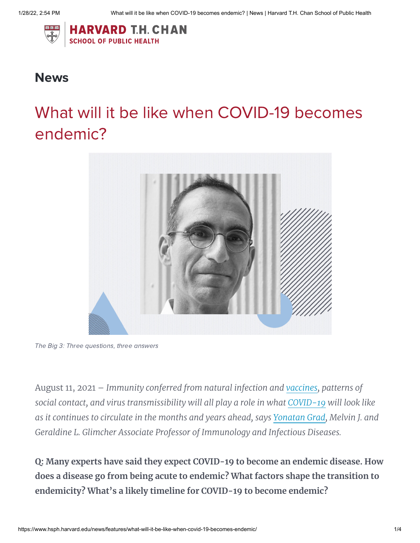

## **News**

## What will it be like when COVID-19 becomes endemic?



The Big 3: Three questions, three answers

August 11, 2021 – *Immunity conferred from natural infection and [vaccines](https://www.hsph.harvard.edu/news/multitaxo/topic/vaccines/), patterns of social contact, and virus transmissibility will all play a role in what [COVID-19](https://www.hsph.harvard.edu/news/multitaxo/topic/covid-19/) will look like as it continues to circulate in the months and years ahead, says [Yonatan](https://www.hsph.harvard.edu/profile/yonatan-grad/) Grad, Melvin J. and Geraldine L. Glimcher Associate Professor of Immunology and Infectious Diseases.*

**Q: Many experts have said they expect COVID-19 to become an endemic disease. How does a disease go from being acute to endemic? What factors shape the transition to endemicity? What's a likely timeline for COVID-19 to become endemic?**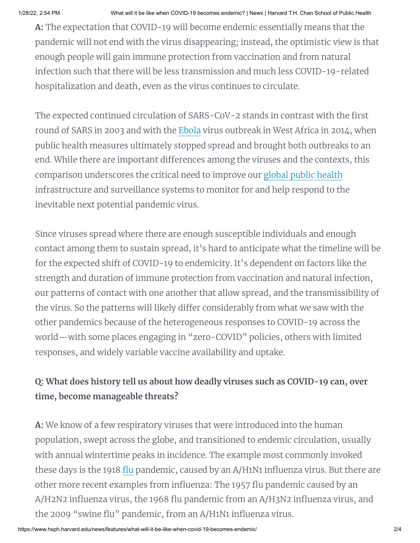**A:** The expectation that COVID-19 will become endemic essentially means that the pandemic will not end with the virus disappearing; instead, the optimistic view is that enough people will gain immune protection from vaccination and from natural infection such that there will be less transmission and much less COVID-19-related hospitalization and death, even as the virus continues to circulate.

The expected continued circulation of SARS-CoV-2 stands in contrast with the first round of SARS in 2003 and with the [Ebola](https://www.hsph.harvard.edu/news/multitaxo/topic/ebola/) virus outbreak in West Africa in 2014, when public health measures ultimately stopped spread and brought both outbreaks to an end. While there are important differences among the viruses and the contexts, this comparison underscores the critical need to improve our global public [health](https://www.hsph.harvard.edu/news/multitaxo/topic/global-health/) infrastructure and surveillance systems to monitor for and help respond to the inevitable next potential pandemic virus.

Since viruses spread where there are enough susceptible individuals and enough contact among them to sustain spread, it's hard to anticipate what the timeline will be for the expected shift of COVID-19 to endemicity. It's dependent on factors like the strength and duration of immune protection from vaccination and natural infection, our patterns of contact with one another that allow spread, and the transmissibility of the virus. So the patterns will likely differ considerably from what we saw with the other pandemics because of the heterogeneous responses to COVID-19 across the world—with some places engaging in "zero-COVID" policies, others with limited responses, and widely variable vaccine availability and uptake.

## **Q: What does history tell us about how deadly viruses such as COVID-19 can, over time, become manageable threats?**

**A:** We know of a few respiratory viruses that were introduced into the human population, swept across the globe, and transitioned to endemic circulation, usually with annual wintertime peaks in incidence. The example most commonly invoked these days is the 1918 [flu](https://www.hsph.harvard.edu/news/multitaxo/topic/influenza/) pandemic, caused by an A/H1N1 influenza virus. But there are other more recent examples from influenza: The 1957 flu pandemic caused by an A/H2N2 influenza virus, the 1968 flu pandemic from an A/H3N2 influenza virus, and the 2009 "swine flu" pandemic, from an A/H1N1 influenza virus.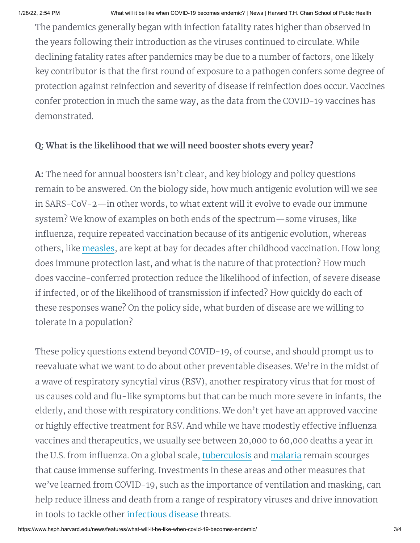The pandemics generally began with infection fatality rates higher than observed in the years following their introduction as the viruses continued to circulate. While declining fatality rates after pandemics may be due to a number of factors, one likely key contributor is that the first round of exposure to a pathogen confers some degree of protection against reinfection and severity of disease if reinfection does occur. Vaccines confer protection in much the same way, as the data from the COVID-19 vaccines has demonstrated.

## **Q: What is the likelihood that we will need booster shots every year?**

**A:** The need for annual boosters isn't clear, and key biology and policy questions remain to be answered. On the biology side, how much antigenic evolution will we see in SARS-CoV-2—in other words, to what extent will it evolve to evade our immune system? We know of examples on both ends of the spectrum—some viruses, like influenza, require repeated vaccination because of its antigenic evolution, whereas others, like [measles](https://www.hsph.harvard.edu/news/multitaxo/topic/measles/), are kept at bay for decades after childhood vaccination. How long does immune protection last, and what is the nature of that protection? How much does vaccine-conferred protection reduce the likelihood of infection, of severe disease if infected, or of the likelihood of transmission if infected? How quickly do each of these responses wane? On the policy side, what burden of disease are we willing to tolerate in a population?

These policy questions extend beyond COVID-19, of course, and should prompt us to reevaluate what we want to do about other preventable diseases. We're in the midst of a wave of respiratory syncytial virus (RSV), another respiratory virus that for most of us causes cold and flu-like symptoms but that can be much more severe in infants, the elderly, and those with respiratory conditions. We don't yet have an approved vaccine or highly effective treatment for RSV. And while we have modestly effective influenza vaccines and therapeutics, we usually see between 20,000 to 60,000 deaths a year in the U.S. from influenza. On a global scale, [tuberculosis](https://www.hsph.harvard.edu/news/multitaxo/topic/tuberculosis/) and [malaria](https://www.hsph.harvard.edu/news/multitaxo/topic/malaria/) remain scourges that cause immense suffering. Investments in these areas and other measures that we've learned from COVID-19, such as the importance of ventilation and masking, can help reduce illness and death from a range of respiratory viruses and drive innovation in tools to tackle other [infectious](https://www.hsph.harvard.edu/news/multitaxo/topic/infectious-diseases/) disease threats.